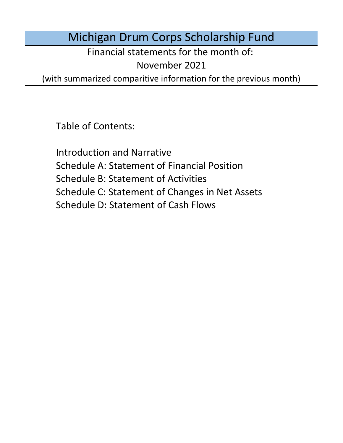Michigan Drum Corps Scholarship Fund

Financial statements for the month of:

November 2021

(with summarized comparitive information for the previous month)

Table of Contents:

Schedule D: Statement of Cash Flows Introduction and Narrative Schedule A: Statement of Financial Position Schedule B: Statement of Activities Schedule C: Statement of Changes in Net Assets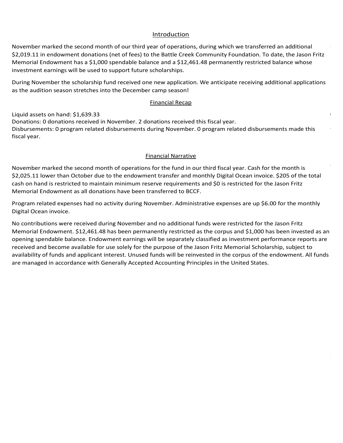## Introduction Introduction Introduction

Introduction<br>November marked the second month of our third year of operations, during which we transferred an additional Introduction<br>November marked the second month of our third year of operations, during which we transferred an additional<br>\$2,019.11 in endowment donations (net of fees) to the Battle Creek Community Foundation. To date, the Memorial Endowment has a \$1,000 spendable balance and a \$12,461.48 permanently restricted balance whose investment earnings will be used to support future scholarships.

During November the scholarship fund received one new application. We anticipate receiving additional application<br>as the audition season stretches into the December camp season! During November the Scholarship fund received one new application. We anticipate receiving additional applications<br>as the audition season stretches into the December camp season!<br>Financial Recap disbursed no funds for students during October. The board chair has been in contact with all sponsored students from the 2020 season and the scholarship fund's focus has shifted towards preparing for the 2021 season. During November the scholarship fund received one new application. We anticipate receiving additional applications But ing November the scholarship rund received one new application. We anticipate receiving additional applications<br>as the audition season stretches into the December camp season! fully vaccinated people that include the ability to gather or conduct activities outdoors without a mask except for capacity limits outdoors, indoor restrictions will be raised to 50% capacity, and social gatherings will be regulated by venue. On July 1st all statewide COVID restrictions will be lifted. Assuming corps follow the protective measures theater broadcast on July 15th but in lieu of the season opener from previous years they will be airing finals During November the scholarship fund received one new application. We anticipate receiving additional applications During November the scholarship fund received one new application. We anticipate receiving additional applications<br>as the audition season stretches into the December camp season! as the addition season stretches lifto the December camp season:

## Donations: 1 donation received during January through Paypal. The company of the second vector paypal. The company of the second vector paypal. The company of the second vector paypal. The company of the second vector payp Monthly Financial Recap: The state will likely be held online. This year, and audition camps will be likely be lifted. On July 1st all states will be lifted. The lifted will be lifted. This year, and the lifted. This year,  $$ Phantom Regiment Drum and Bugle Corps, and has previously served as previously served as chief medical states for the Legends for the Legends as chief medical states for the Legends for the Legends for the Legends as chief Legends has extended the deadline for rolling 2020 contracts into next season from September to next season from September to next season from September to next season from September to next season from September to next s  $C_{\text{in}}$  announced  $\text{D}$  announced the cancellation of all in-person events through the cancellation of all in-person events the cancellation of all in-person events through the cancellation of all in-person events thr 2021 season. Virtual events with the winter with the winter and ensembles with the winter and ensembles with traditional through the winter and ensembles with the winter and ensembles with traditional lines with the winter  $p_{\text{mean}}$  is  $\text{Poisson}$ provided. With the announcement of virtual programs, planned events in Indianapolis, and pending updates from <u>Dianuary meeting, the board opened scholarship</u> applications for the 2021 season to support Michigan students. The 2021 season to support Michigan students. The 2021 season to support Michigan students.</u>  $\nabla$ incorps and eight open cancelled the cancelled their  $\Gamma$  2021 tour, will conduct an entirely online  $\Gamma$ program, or will participate solely in local or regional events. The contract of regional events. The contract of  $\alpha$ **Einancial Recap** International, students receive vaccines, and national conditions conditions conditions conditions continue to improve, we may see a more normal continue to improve, we may see a more normal continue to improve, we may see memorial in Comstock. The board has also discussed potential endowment managers with leading candidates such as  $t$  matter Capture Community Foundation and  $\overline{C}$  community  $\overline{C}$  $\Box$ available for use in September's fundamental includes the state of the \$5,000 threshold, we now qualify for the \$5,000 threshold, we now qualify for the \$5,000 to the \$5,000 threshold. We now qualify for the \$5,000 thresho Our initial fundraising window for the Jason Fritz Memorial Scholarship has officially closed as of 9/30/21 and we  $T$  indicial necapture and heartfelt thanks to all of our sponsored our supporters who helped our sponsored our sponsored our sponsored our sponsored our sponsored our sponsored our sponsored our sponsored our sponsored o

Liquid assets on hand: \$1,639.33  $\,$ Financial Narrative Fiscal year.<br>Fiscal NarrativeFebruary marked the sixth month of operations for the fund under its declared fiscal year. Cas Imancial Recap<br>Liquid assets on hand: \$1,639.33<br>Donations: 0 donations received in November. 2 donations received this fiscal year. Donations: 0 donations received in November. 2 donations received this fiscal year.<br>Disbursements: 0 program related disbursements during November. 0 program related disbursements made this<br>fiscal year  $\frac{1}{2}$  feedback, and a webinar series for members. Based on the quality and scale of the quality and scale of the  $\frac{1}{2}$  $\alpha$  basis and will be in contact with the board as more specific information in  $\alpha$ donations (net of fees) to the Battle Creek Community Foundation. To date, the Jason Fritz<br>
s a \$1,000 spendable balance and a \$12,461.48 permanently restricted balance whose<br>
be used to support future scholarships.<br>
olars  $A$  additionally, members of the board have been actively working towards website improvements, branding  $\mathcal{A}$  $\sim$  2021 season. Until a vaccine is developed, he believes all audition and rehearsal camps will be all audition and reflection and reflection and reflection and reflection and reflection and reflection and reflection an the form of rolling 2020 contracts into from September to tuition support between recelasion for 2021 pending tuition for 2021 pending preparation for 2021 pending tuition for 2021 pending tuition for 2021 pending tuition  $t_{\rm 202}$  season. Until a vaccine is developed, he believes all audition and rehearsal camps will be and reflective  $\alpha$ property leases, vehicle loans, and other operation costs. As of September 7th, they have raised just under \$50,000 of a 150,000 goal. To date, no ensembles with sponsored students have shared they are at risk of a 150,000 fiscal year. Internation Reception<br>Internations: 0 donations received in November. 2 donations received this fiscal year.<br>Joursements: 0 program related disbursements during November. 0 program related disbursements made this<br>In Indian ponduons. 6 donations received in November. 2 donations received this nsear year.<br>Dishursoments: A program related dishursoments during November. A program related dishursoments made this producementer o program related diedareemente daring recommence program related diedareemente made tine<br>fiscal vear The Crossmen announced The Collective as their digital platform for video auditions, monthly classes, and private Donations: 0 donations received in rioverment 2 donations received this nsear year.<br>Disbursoments: 0 program related disbursoments during Newember, 0 program related disbursoments made th plat forms for virtual instruction and all instruction campus. Phantom Regiment created the Phantom Regiment Academy<br>fiscal vear virtual drum major and leadership clinics as well as a new Expert Lesson Series designed for beginner band students. donations received th<br>s during November. 0<br><u>Financial Narrative</u> Disbursements: 0 program related disbursements during November. 0 program related disbursements made this<br>fiscal vear scholarship fund received one new application during March but disbursed no funds for students during the 2021 season than expected only a few months ago.  $\bf{f}$ iscal year. Additionally, the fundraising plans to manage fundraising efforts, the fundraising efforts, the fundraising efforts, the fundraising efforts, the fundraising efforts, the fundraising efforts, the fundra  $\alpha$  endowment for an endowment for perpetual scholarships). More information will be provided as we receive feedback feedback feedback feedback feedback feedback feedback feedback feedback feedback feedback feedback feed 2020 and this year's sponsored students, we had a total of four students marching with three corps this summer:

## **Financial Narrative** 35 of DCI's Division 1 Monday Class corps, orientative corps, orientative show selections based on  $\mathcal{L}$ member heralth will require substantial provements for each ensemble. Potential to each ensemble. Potential to substantial provements for each ensemble. Potential to each ensemble  $\mathcal{P}_\text{c}$ more than 90% effective in the internal. Multiple groups continue to develop vaccines and estimates and estimates and estimates and estimates and estimates and estimates and estimates and estimates and estimates and estima  $\blacksquare$   $\blacksquare$   $\blacksquare$   $\blacksquare$   $\blacksquare$   $\blacksquare$   $\blacksquare$   $\blacksquare$   $\blacksquare$   $\blacksquare$   $\blacksquare$   $\blacksquare$   $\blacksquare$   $\blacksquare$   $\blacksquare$   $\blacksquare$   $\blacksquare$   $\blacksquare$   $\blacksquare$   $\blacksquare$   $\blacksquare$   $\blacksquare$   $\blacksquare$   $\blacksquare$   $\blacksquare$   $\blacksquare$   $\blacksquare$   $\blacksquare$   $\blacksquare$   $\blacksquare$   $\blacksquare$   $\blacksquare$ 2021 season and has confirmed that Abbey Trach is participated that Abbey Trach is participated that Abbey Trach is participated with River City Rhythm and Jaden McCallum will be a season of the McCallum will be a season o The schoolarship fund received no new applications during May but paid  $\sim$  515.00 to the Madison Scouts for Kaitlynn Scouts for Kaitlynn Scouts for Kaitlynn Scouts for Kaitlynn Scouts for Kaitlynn Scouts for Kaitlynn Scou Jaden MacCallum and Echo Bennett with Phantom Regiment, Abbey Trach with River City Rhythm, and Kaitlyn Colyer Rhythm, and Kaitlyn Colyer Colyer Colyer Colyer Rhythm, and Kaitlyn Colyer Rhythm, and Kaitlyn Colyer Rhythm, a with the Madison Scouts. To date, Crossmen has not refund requests they participated to refund requests they participated in the  $\sim$ students in the corps three corps the corps that in the corps the corps that  $\Gamma$  are given  $R$  abbey Trach with  $P$ Donations: 2 donations received in October. 2 donations received this fiscal year.

November marked the second month of operations for the fund in our third fiscal year. Cash for the month is<br>C2.235.44 laws than Ottahan dua to the andeumant transfer and monthly Digital Ocean invaise. C305 of the tot \$2,025.11 lower than October due to the endowment transfer and monthly Digital Ocean invoice. \$205 of the total<br>cash on hand is restricted to maintain minimum reserve requirements and \$0 is restricted for the Jason Fritz<br>M cash on hand is restricted to maintain minimum reserve requirements and \$0 is restricted for the Jason Fritz cash on hand is restricted to maintain minimum reserve requirements and \$0 is restricted for the Jason Fritz<br>Memorial Endowment as all donations have been transferred to BCCF.<br>. November marked the second month of operations for the fund in our third fiscal year. Cash for the month is parties as more information becomes available. receiving a 400.000 refund from Legends for Echo Bennett's unused scholarship payment but Crossmen has not con<br>Distributed scholarship payment but Crossmen has not considered scholarship payment but Crossmen has not consi

Program related expenses had no activity during November. Administrative expenses are up \$6.00 for the monthly<br>Digital Ocean invoice No funds are currently restricted by outside donors. All restrictions made by the Board are included under under United Funds in accordance with Generally Accounting Principles in the United States. The United States in the U n ogram rolates expenses has no denni, samlig heremoen rammielisme expenses are ap perce for the monthly<br>Digital Ocean invoice. May marked the ninth month of operations for the fund under its declared fiscal year. Cash for the month Disbursements: 0 program related disbursements during July. Financial Recap Digital Ocean invoice.<br>No contributions were received during November and no additional funds were restricted for the Jason Fritz  $\alpha$  disputes  $\alpha$  program related disputes  $\alpha$  program related disputes have been made this have been made this have been made this have been made this have been made the set of  $\alpha$ Liquid assets on hand: \$1,640.44 lower than September due to the endowment transfer. \$205 of the total cash on hand is restricted to maintain transfer. \$205 of the total cash on hand is restricted to maintain the total cash on hand is restricted to mainta

No contributions were received during November and no additional funds were restricted for the Jason Fritz Memorial Endowment. \$12,461.48 has been permanently restricted as the corpus and \$1,000 has been invested as a Program related expenses had no activity during November. Administrative expenses are up \$6.00 for the monthly<br>Digital Ocean invoice.<br>No contributions were received during November and no additional funds were restricted f opering speridable balance. Endowment earlings will be separately classified as investment performance reports are<br>received and become available for use solely for the purpose of the Jason Fritz Memorial Scholarship, subje received and become available for use solely for the purpose of the Jason Fritz Memorial Scholarship, subject to<br>availability of funds and applicant interest. Unused funds will be reinvested in the corpus of the endowment. are managed in accordance with Generally Accepted Accounting Principles in the United States. n of our third year of operations, during which we transferred an additional<br>the of or the of the Battle Creek Community Foundation. To date, the Jason Fritter<br>prendable balance and a \$12,461.48 permanently restricted bala minimum reserve requirements. mentages in secondance mini-et are managed in accordance with Generally Accepted Accounting Principles in the United States. Disbursements: 0 program related disbursements during November. 0 program related disbursements made this  $\frac{1}{2}$  is a search of the 2020 in preparation has been rolled forward forward into the 2020 season due to the 2020 season due to the 2020 season due to the 2020 season due to the 2020 season due to the 2020 season due No contributions were received during November and no additional funds were restricted for the Jason Fritz availability of funds and applicant interest. Unused funds will be reinvested in the corpus of the endowment. All fund<br>availability of funds and applicant interest. Unused funds will be reinvested in the corpus of the endo no contributions were received during november and no dduttional rands were restricted for the sason ritte.<br>Momorial Endowment: \$12,461,48 has been normanently rectricted as the cornus and \$1,000 has been invested as ar year. \$1,590 in prepaid tuition has been rolled forward into the 2021 season due to the 2020 season cancellation.  $\frac{1}{5}$  in prefitulion tuition has been rolled forward into the 2021 season due to the  $21,000$  in  $21,000$  in  $21,000$  in  $21,000$  in  $21,000$  in  $21,000$  in  $21,000$  in  $21,000$  in  $21,000$  in  $21,000$  in  $21,000$  in received No contributions were received during November and no duditional rands were restricted for the suborting.<br>Memorial Endowment. \$12,461.48 has been permanently restricted as the corpus and \$1,000 has been invested as remonar Endowment. 312,401.46 has been permanently restricted as the corpus and 31,000 has been invested as a<br>opening spendable balance. Endowment earnings will be separately classified as investment performance reports ar are managed in accordance with Generally Accepted Accounting Principles in the United States. availability of funds and applicant interest. Unused funds will be reinvested in the corpus of the endowment. All funds<br>are managed in accordance with Generally Accepted Accounting Principles in the United States. Memorial Endowment. \$12,461.48 has been permanently restricted as the corpus and \$1,000 has been invested as an<br>opening spendable balance. Endowment earnings will be separately classified as investment performance reports received and become available for use solely for the purpose of the Jason Fritz Memorial Scholarship, subject to November marked the second month of our third year of operations, during which we transferred an additional<br>S2,019.11 in endowment domations (net of thes) to the Battle Creek Community Foundation. To date, the asson Fritz<br> by the corps in June. Echo's \$400.00 disbursement was approved and paid but has yet to be deposited by the corps. Memorial Endowment. \$12,461.48 has been permanently restricted as the corpus and \$1,000 has been invested as an Financial Accounting<br>Prin sponsorships for the 2021 season. are managed in accordance with Generally Accepted Accounting Principles in the United States. No contributions were received during November and no additional funds were restricted for the Jason Fritz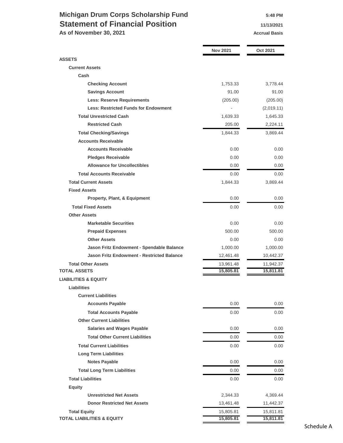## **Michigan Drum Corps Scholarship Fund 5:48 PM Statement of Financial Position 11/13/2021**

As of November 30, 2021 **Accrual Basis Accrual Basis** 

|                                                   | <b>Nov 2021</b> | <b>Oct 2021</b> |
|---------------------------------------------------|-----------------|-----------------|
| <b>ASSETS</b>                                     |                 |                 |
| <b>Current Assets</b>                             |                 |                 |
| Cash                                              |                 |                 |
| <b>Checking Account</b>                           | 1,753.33        | 3,778.44        |
| <b>Savings Account</b>                            | 91.00           | 91.00           |
| <b>Less: Reserve Requirements</b>                 | (205.00)        | (205.00)        |
| <b>Less: Restricted Funds for Endowment</b>       |                 | (2,019.11)      |
| <b>Total Unrestricted Cash</b>                    | 1,639.33        | 1,645.33        |
| <b>Restricted Cash</b>                            | 205.00          | 2,224.11        |
| <b>Total Checking/Savings</b>                     | 1,844.33        | 3,869.44        |
| <b>Accounts Receivable</b>                        |                 |                 |
| <b>Accounts Receivable</b>                        | 0.00            | 0.00            |
| <b>Pledges Receivable</b>                         | 0.00            | 0.00            |
| <b>Allowance for Uncollectibles</b>               | 0.00            | 0.00            |
| <b>Total Accounts Receivable</b>                  | 0.00            | 0.00            |
| <b>Total Current Assets</b>                       | 1,844.33        | 3,869.44        |
| <b>Fixed Assets</b>                               |                 |                 |
| <b>Property, Plant, &amp; Equipment</b>           | 0.00            | 0.00            |
| <b>Total Fixed Assets</b>                         | 0.00            | 0.00            |
| <b>Other Assets</b>                               |                 |                 |
| <b>Marketable Securities</b>                      | 0.00            | 0.00            |
| <b>Prepaid Expenses</b>                           | 500.00          | 500.00          |
| <b>Other Assets</b>                               | 0.00            | 0.00            |
| Jason Fritz Endowment - Spendable Balance         | 1,000.00        | 1,000.00        |
| <b>Jason Fritz Endowment - Restricted Balance</b> | 12,461.48       | 10,442.37       |
| <b>Total Other Assets</b>                         | 13,961.48       | 11,942.37       |
| <b>TOTAL ASSETS</b>                               | 15,805.81       | 15,811.81       |
| <b>LIABILITIES &amp; EQUITY</b>                   |                 |                 |
| <b>Liabilities</b>                                |                 |                 |
| <b>Current Liabilities</b>                        |                 |                 |
| <b>Accounts Payable</b>                           | 0.00            | 0.00            |
| <b>Total Accounts Payable</b>                     | 0.00            | 0.00            |
| <b>Other Current Liabilities</b>                  |                 |                 |
| <b>Salaries and Wages Payable</b>                 | 0.00            | 0.00            |
| <b>Total Other Current Liabilities</b>            | 0.00            | 0.00            |
| <b>Total Current Liabilities</b>                  | 0.00            | 0.00            |
| <b>Long Term Liabilities</b>                      |                 |                 |
| <b>Notes Payable</b>                              | 0.00            | 0.00            |
| <b>Total Long Term Liabilities</b>                | 0.00            | 0.00            |
| <b>Total Liabilities</b>                          | 0.00            | 0.00            |
| <b>Equity</b>                                     |                 |                 |
| <b>Unrestricted Net Assets</b>                    | 2,344.33        | 4,369.44        |
| <b>Donor Restricted Net Assets</b>                | 13,461.48       | 11,442.37       |
| <b>Total Equity</b>                               | 15,805.81       | 15,811.81       |
| <b>TOTAL LIABILITIES &amp; EQUITY</b>             | 15,805.81       | 15,811.81       |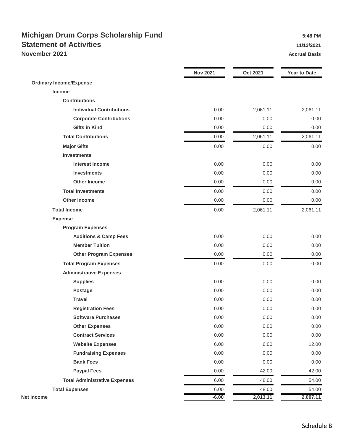## **Michigan Drum Corps Scholarship Fund 5:48 PM Statement of Activities 11/13/2021 November 2021 Accrual Basis Accrual Basis Accrual Basis**

|                                      | <b>Nov 2021</b> | <b>Oct 2021</b> | <b>Year to Date</b> |
|--------------------------------------|-----------------|-----------------|---------------------|
| <b>Ordinary Income/Expense</b>       |                 |                 |                     |
| Income                               |                 |                 |                     |
| <b>Contributions</b>                 |                 |                 |                     |
| <b>Individual Contributions</b>      | 0.00            | 2,061.11        | 2,061.11            |
| <b>Corporate Contributions</b>       | 0.00            | 0.00            | 0.00                |
| <b>Gifts in Kind</b>                 | 0.00            | 0.00            | 0.00                |
| <b>Total Contributions</b>           | 0.00            | 2,061.11        | 2,061.11            |
| <b>Major Gifts</b>                   | 0.00            | 0.00            | 0.00                |
| <b>Investments</b>                   |                 |                 |                     |
| <b>Interest Income</b>               | 0.00            | 0.00            | 0.00                |
| <b>Investments</b>                   | 0.00            | 0.00            | 0.00                |
| <b>Other Income</b>                  | 0.00            | 0.00            | 0.00                |
| <b>Total Investments</b>             | 0.00            | 0.00            | 0.00                |
| <b>Other Income</b>                  | 0.00            | 0.00            | 0.00                |
| <b>Total Income</b>                  | 0.00            | 2,061.11        | 2,061.11            |
| <b>Expense</b>                       |                 |                 |                     |
| <b>Program Expenses</b>              |                 |                 |                     |
| <b>Auditions &amp; Camp Fees</b>     | 0.00            | 0.00            | 0.00                |
| <b>Member Tuition</b>                | 0.00            | 0.00            | 0.00                |
| <b>Other Program Expenses</b>        | 0.00            | 0.00            | 0.00                |
| <b>Total Program Expenses</b>        | 0.00            | 0.00            | 0.00                |
| <b>Administrative Expenses</b>       |                 |                 |                     |
| <b>Supplies</b>                      | 0.00            | 0.00            | 0.00                |
| <b>Postage</b>                       | 0.00            | 0.00            | 0.00                |
| <b>Travel</b>                        | 0.00            | 0.00            | 0.00                |
| <b>Registration Fees</b>             | 0.00            | 0.00            | 0.00                |
| <b>Software Purchases</b>            | 0.00            | 0.00            | 0.00                |
| <b>Other Expenses</b>                | 0.00            | 0.00            | 0.00                |
| <b>Contract Services</b>             | 0.00            | 0.00            | 0.00                |
| <b>Website Expenses</b>              | 6.00            | 6.00            | 12.00               |
| <b>Fundraising Expenses</b>          | 0.00            | 0.00            | 0.00                |
| <b>Bank Fees</b>                     | 0.00            | 0.00            | 0.00                |
| <b>Paypal Fees</b>                   | 0.00            | 42.00           | 42.00               |
| <b>Total Administrative Expenses</b> | 6.00            | 48.00           | 54.00               |
| <b>Total Expenses</b>                | 6.00            | 48.00           | 54.00               |
| <b>Net Income</b>                    | $-6.00$         | 2,013.11        | 2,007.11            |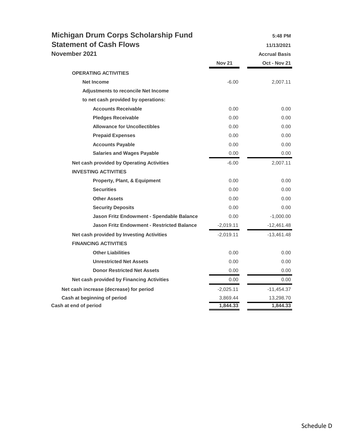| <b>Michigan Drum Corps Scholarship Fund</b><br><b>Statement of Cash Flows</b> |               | 5:48 PM<br>11/13/2021 |
|-------------------------------------------------------------------------------|---------------|-----------------------|
| November 2021                                                                 |               | <b>Accrual Basis</b>  |
|                                                                               | <b>Nov 21</b> | Oct - Nov 21          |
| <b>OPERATING ACTIVITIES</b>                                                   |               |                       |
| Net Income                                                                    | $-6.00$       | 2,007.11              |
| <b>Adjustments to reconcile Net Income</b>                                    |               |                       |
| to net cash provided by operations:                                           |               |                       |
| <b>Accounts Receivable</b>                                                    | 0.00          | 0.00                  |
| <b>Pledges Receivable</b>                                                     | 0.00          | 0.00                  |
| <b>Allowance for Uncollectibles</b>                                           | 0.00          | 0.00                  |
| <b>Prepaid Expenses</b>                                                       | 0.00          | 0.00                  |
| <b>Accounts Payable</b>                                                       | 0.00          | 0.00                  |
| <b>Salaries and Wages Payable</b>                                             | 0.00          | 0.00                  |
| Net cash provided by Operating Activities                                     | $-6.00$       | 2,007.11              |
| <b>INVESTING ACTIVITIES</b>                                                   |               |                       |
| <b>Property, Plant, &amp; Equipment</b>                                       | 0.00          | 0.00                  |
| <b>Securities</b>                                                             | 0.00          | 0.00                  |
| <b>Other Assets</b>                                                           | 0.00          | 0.00                  |
| <b>Security Deposits</b>                                                      | 0.00          | 0.00                  |
| Jason Fritz Endowment - Spendable Balance                                     | 0.00          | $-1,000.00$           |
| <b>Jason Fritz Endowment - Restricted Balance</b>                             | $-2,019.11$   | $-12,461.48$          |
| Net cash provided by Investing Activities                                     | $-2,019.11$   | $-13,461.48$          |
| <b>FINANCING ACTIVITIES</b>                                                   |               |                       |
| <b>Other Liabilities</b>                                                      | 0.00          | 0.00                  |
| <b>Unrestricted Net Assets</b>                                                | 0.00          | 0.00                  |
| <b>Donor Restricted Net Assets</b>                                            | 0.00          | 0.00                  |
| Net cash provided by Financing Activities                                     | 0.00          | 0.00                  |
| Net cash increase (decrease) for period                                       | $-2,025.11$   | $-11,454.37$          |
| Cash at beginning of period                                                   | 3,869.44      | 13,298.70             |
| Cash at end of period                                                         | 1,844.33      | 1,844.33              |